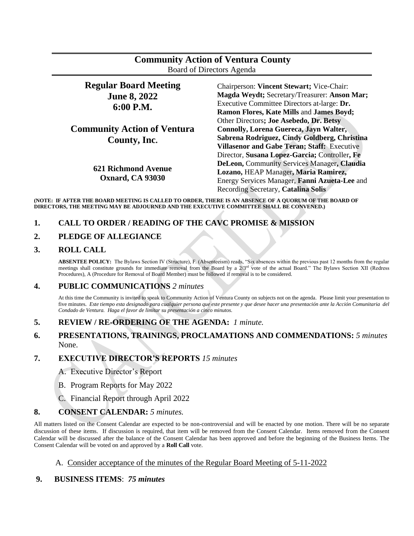| <b>Community Action of Ventura County</b> |  |
|-------------------------------------------|--|
| Board of Directors Agenda                 |  |

#### **Regular Board Meeting June 8, 2022 6:00 P.M. Community Action of Ventura County, Inc. 621 Richmond Avenue Oxnard, CA 93030** Chairperson: **Vincent Stewart;** Vice-Chair: **Magda Weydt;** Secretary/Treasurer: **Anson Mar;**  Executive Committee Directors at-large: **Dr. Ramon Flores, Kate Mills** and **James Boyd;**  Other Directors**; Joe Asebedo, Dr. Betsy Connolly, Lorena Guereca, Jayn Walter, Sabrena Rodriguez, Cindy Goldberg, Christina Villasenor and Gabe Teran; Staff:** Executive Director, **Susana Lopez-Garcia;** Controller**, Fe DeLeon,** Community Services Manager**, Claudia Lozano,** HEAP Manager**, Maria Ramirez,**  Energy Services Manager, **Fanni Azueta-Lee** and Recording Secretary, **Catalina Solis**

**(NOTE: IF AFTER THE BOARD MEETING IS CALLED TO ORDER, THERE IS AN ABSENCE OF A QUORUM OF THE BOARD OF DIRECTORS, THE MEETING MAY BE ADJOURNED AND THE EXECUTIVE COMMITTEE SHALL BE CONVENED.)**

# **1. CALL TO ORDER / READING OF THE CAVC PROMISE & MISSION**

### **2. PLEDGE OF ALLEGIANCE**

#### **3. ROLL CALL**

**ABSENTEE POLICY:** The Bylaws Section IV (Structure), F. (Absenteeism) reads, "Six absences within the previous past 12 months from the regular meetings shall constitute grounds for immediate removal from the Board by a  $2/3<sup>rd</sup>$  vote of the actual Board." The Bylaws Section XII (Redress Procedures), A (Procedure for Removal of Board Member) must be followed if removal is to be considered.

### **4. PUBLIC COMMUNICATIONS** *2 minutes*

At this time the Community is invited to speak to Community Action of Ventura County on subjects not on the agenda. Please limit your presentation to five minutes. *Este tiempo esta designado para cualquier persona que este presente y que desee hacer una presentación ante la Acción Comunitaria del Condado de Ventura. Haga el favor de limitar su presentación a cinco minutos.*

#### **5. REVIEW / RE-ORDERING OF THE AGENDA:** *1 minute.*

## **6. PRESENTATIONS, TRAININGS, PROCLAMATIONS AND COMMENDATIONS:** *5 minutes* None.

#### **7. EXECUTIVE DIRECTOR'S REPORTS** *15 minutes*

- A. Executive Director's Report
- B. Program Reports for May 2022
- C. Financial Report through April 2022

#### **8. CONSENT CALENDAR:** *5 minutes.*

All matters listed on the Consent Calendar are expected to be non-controversial and will be enacted by one motion. There will be no separate discussion of these items. If discussion is required, that item will be removed from the Consent Calendar. Items removed from the Consent Calendar will be discussed after the balance of the Consent Calendar has been approved and before the beginning of the Business Items. The Consent Calendar will be voted on and approved by a **Roll Call** vote.

#### A. Consider acceptance of the minutes of the Regular Board Meeting of 5-11-2022

#### **9. BUSINESS ITEMS**: *75 minutes*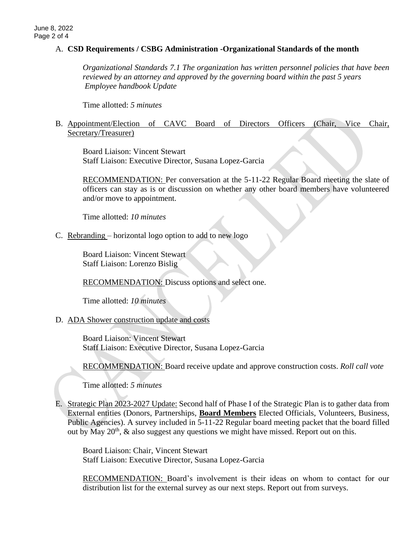### A. **CSD Requirements / CSBG Administration -Organizational Standards of the month**

*Organizational Standards 7.1 The organization has written personnel policies that have been reviewed by an attorney and approved by the governing board within the past 5 years Employee handbook Update*

Time allotted: *5 minutes*

### B. Appointment/Election of CAVC Board of Directors Officers (Chair, Vice Chair, Secretary/Treasurer)

Board Liaison: Vincent Stewart Staff Liaison: Executive Director, Susana Lopez-Garcia

RECOMMENDATION: Per conversation at the 5-11-22 Regular Board meeting the slate of officers can stay as is or discussion on whether any other board members have volunteered and/or move to appointment.

Time allotted: *10 minutes*

C. Rebranding – horizontal logo option to add to new logo

Board Liaison: Vincent Stewart Staff Liaison: Lorenzo Bislig

RECOMMENDATION: Discuss options and select one.

Time allotted: *10 minutes*

### D. ADA Shower construction update and costs

Board Liaison: Vincent Stewart Staff Liaison: Executive Director, Susana Lopez-Garcia

RECOMMENDATION: Board receive update and approve construction costs. *Roll call vote*

Time allotted: *5 minutes*

E. Strategic Plan 2023-2027 Update: Second half of Phase I of the Strategic Plan is to gather data from External entities (Donors, Partnerships, **Board Members** Elected Officials, Volunteers, Business, Public Agencies). A survey included in 5-11-22 Regular board meeting packet that the board filled out by May  $20<sup>th</sup>$ , & also suggest any questions we might have missed. Report out on this.

Board Liaison: Chair, Vincent Stewart Staff Liaison: Executive Director, Susana Lopez-Garcia

RECOMMENDATION: Board's involvement is their ideas on whom to contact for our distribution list for the external survey as our next steps. Report out from surveys.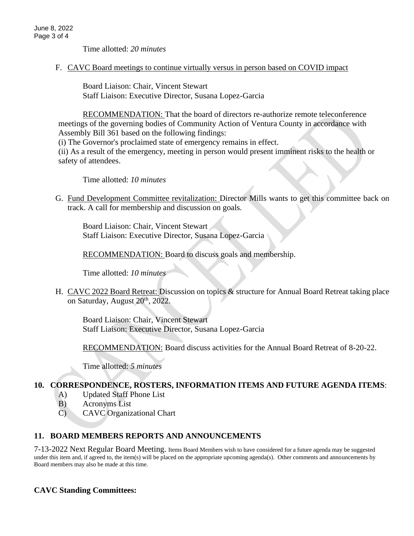Time allotted: *20 minutes*

F. CAVC Board meetings to continue virtually versus in person based on COVID impact

Board Liaison: Chair, Vincent Stewart Staff Liaison: Executive Director, Susana Lopez-Garcia

RECOMMENDATION: That the board of directors re-authorize remote teleconference meetings of the governing bodies of Community Action of Ventura County in accordance with Assembly Bill 361 based on the following findings:

(i) The Governor's proclaimed state of emergency remains in effect.

(ii) As a result of the emergency, meeting in person would present imminent risks to the health or safety of attendees.

Time allotted: *10 minutes* 

G. Fund Development Committee revitalization: Director Mills wants to get this committee back on track. A call for membership and discussion on goals.

Board Liaison: Chair, Vincent Stewart Staff Liaison: Executive Director, Susana Lopez-Garcia

RECOMMENDATION: Board to discuss goals and membership.

Time allotted: *10 minutes*

H. CAVC 2022 Board Retreat: Discussion on topics & structure for Annual Board Retreat taking place on Saturday, August 20<sup>th</sup>, 2022.

Board Liaison: Chair, Vincent Stewart Staff Liaison: Executive Director, Susana Lopez-Garcia

RECOMMENDATION: Board discuss activities for the Annual Board Retreat of 8-20-22.

Time allotted: *5 minutes* 

### **10. CORRESPONDENCE, ROSTERS, INFORMATION ITEMS AND FUTURE AGENDA ITEMS**:

- A) Updated Staff Phone List
- B) Acronyms List
- C) CAVC Organizational Chart

# **11. BOARD MEMBERS REPORTS AND ANNOUNCEMENTS**

7-13-2022 Next Regular Board Meeting. Items Board Members wish to have considered for a future agenda may be suggested under this item and, if agreed to, the item(s) will be placed on the appropriate upcoming agenda(s). Other comments and announcements by Board members may also be made at this time.

# **CAVC Standing Committees:**